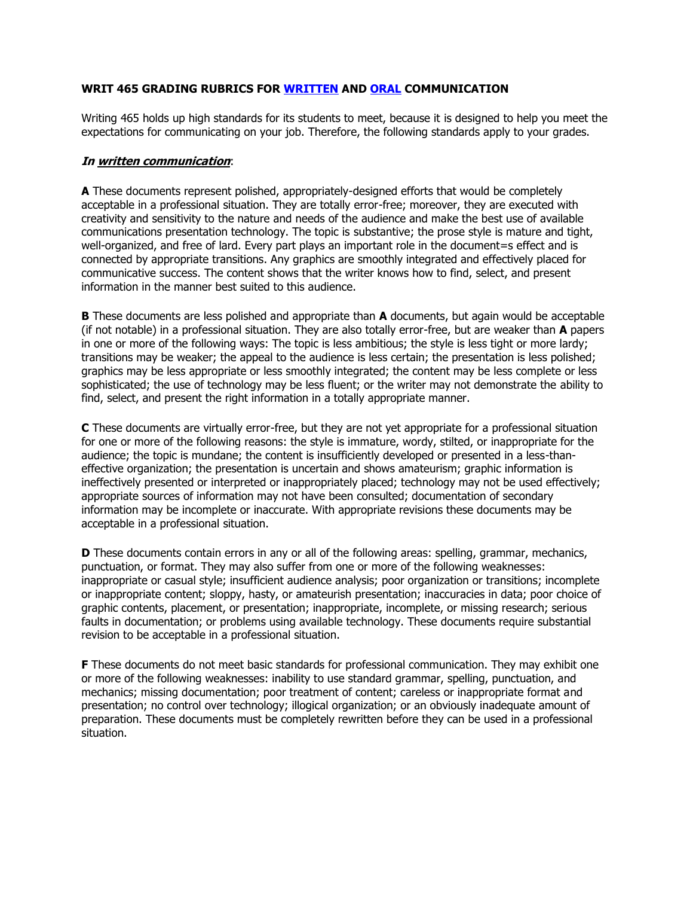## **WRIT 465 GRADING RUBRICS FOR [WRITTEN](http://www2.winthrop.edu/english/WritingProgram/465rubric.htm#written communication) AND [ORAL](http://www2.winthrop.edu/english/WritingProgram/465rubric.htm#oral communication) COMMUNICATION**

Writing 465 holds up high standards for its students to meet, because it is designed to help you meet the expectations for communicating on your job. Therefore, the following standards apply to your grades.

## **In written communication**:

**A** These documents represent polished, appropriately-designed efforts that would be completely acceptable in a professional situation. They are totally error-free; moreover, they are executed with creativity and sensitivity to the nature and needs of the audience and make the best use of available communications presentation technology. The topic is substantive; the prose style is mature and tight, well-organized, and free of lard. Every part plays an important role in the document=s effect and is connected by appropriate transitions. Any graphics are smoothly integrated and effectively placed for communicative success. The content shows that the writer knows how to find, select, and present information in the manner best suited to this audience.

**B** These documents are less polished and appropriate than **A** documents, but again would be acceptable (if not notable) in a professional situation. They are also totally error-free, but are weaker than **A** papers in one or more of the following ways: The topic is less ambitious; the style is less tight or more lardy; transitions may be weaker; the appeal to the audience is less certain; the presentation is less polished; graphics may be less appropriate or less smoothly integrated; the content may be less complete or less sophisticated; the use of technology may be less fluent; or the writer may not demonstrate the ability to find, select, and present the right information in a totally appropriate manner.

**C** These documents are virtually error-free, but they are not yet appropriate for a professional situation for one or more of the following reasons: the style is immature, wordy, stilted, or inappropriate for the audience; the topic is mundane; the content is insufficiently developed or presented in a less-thaneffective organization; the presentation is uncertain and shows amateurism; graphic information is ineffectively presented or interpreted or inappropriately placed; technology may not be used effectively; appropriate sources of information may not have been consulted; documentation of secondary information may be incomplete or inaccurate. With appropriate revisions these documents may be acceptable in a professional situation.

**D** These documents contain errors in any or all of the following areas: spelling, grammar, mechanics, punctuation, or format. They may also suffer from one or more of the following weaknesses: inappropriate or casual style; insufficient audience analysis; poor organization or transitions; incomplete or inappropriate content; sloppy, hasty, or amateurish presentation; inaccuracies in data; poor choice of graphic contents, placement, or presentation; inappropriate, incomplete, or missing research; serious faults in documentation; or problems using available technology. These documents require substantial revision to be acceptable in a professional situation.

**F** These documents do not meet basic standards for professional communication. They may exhibit one or more of the following weaknesses: inability to use standard grammar, spelling, punctuation, and mechanics; missing documentation; poor treatment of content; careless or inappropriate format and presentation; no control over technology; illogical organization; or an obviously inadequate amount of preparation. These documents must be completely rewritten before they can be used in a professional situation.